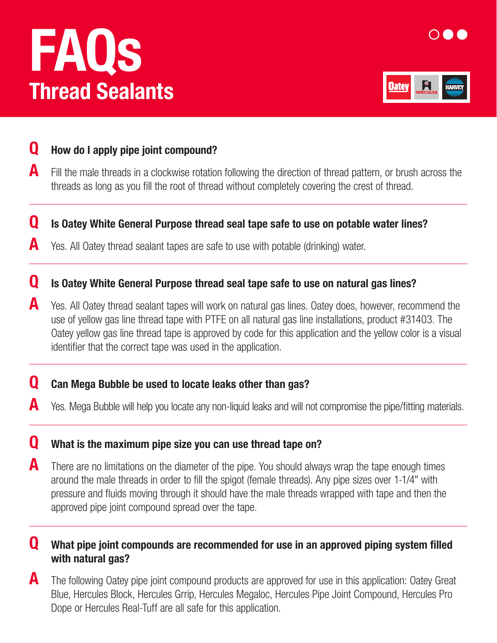# Thread Sealants FAQs





## **Q** How do I apply pipe joint compound?

 $\blacktriangle$  Fill the male threads in a clockwise rotation following the direction of thread pattern, or brush across the threads as long as you fill the root of thread without completely covering the crest of thread.

#### Q Is Oatey White General Purpose thread seal tape safe to use on potable water lines?

Yes. All Oatey thread sealant tapes are safe to use with potable (drinking) water.

#### **Q** Is Oatey White General Purpose thread seal tape safe to use on natural gas lines?

A Yes. All Oatey thread sealant tapes will work on natural gas lines. Oatey does, however, recommend the use of yellow gas line thread tape with PTFE on all natural gas line installations, product #31403. The Oatey yellow gas line thread tape is approved by code for this application and the yellow color is a visual identifier that the correct tape was used in the application.

#### **Q** Can Mega Bubble be used to locate leaks other than gas?

Yes. Mega Bubble will help you locate any non-liquid leaks and will not compromise the pipe/fitting materials.

#### **Q** What is the maximum pipe size you can use thread tape on?

**A** There are no limitations on the diameter of the pipe. You should always wrap the tape enough times around the male threads in order to fill the spigot (female threads). Any pipe sizes over 1-1/4" with pressure and fluids moving through it should have the male threads wrapped with tape and then the approved pipe joint compound spread over the tape.

### **Q** What pipe joint compounds are recommended for use in an approved piping system filled with natural gas?

**A** The following Oatey pipe joint compound products are approved for use in this application: Oatey Great Blue, Hercules Block, Hercules Grrip, Hercules Megaloc, Hercules Pipe Joint Compound, Hercules Pro Dope or Hercules Real-Tuff are all safe for this application.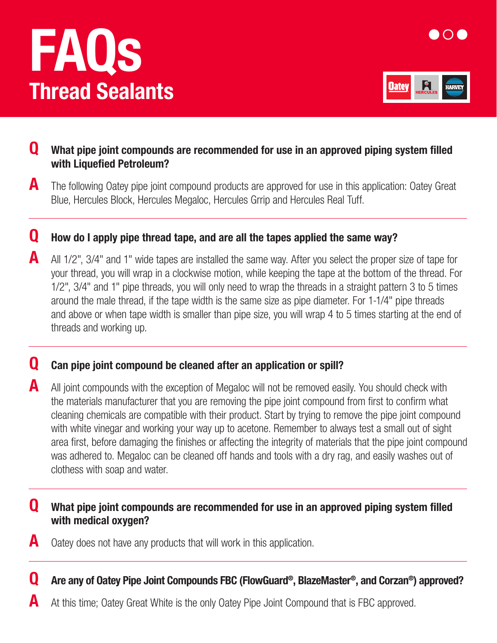# FAQs Thread Sealants





## **Q** What pipe joint compounds are recommended for use in an approved piping system filled with Liquefied Petroleum?

**A** The following Oatey pipe joint compound products are approved for use in this application: Oatey Great Blue, Hercules Block, Hercules Megaloc, Hercules Grrip and Hercules Real Tuff.

## Q How do I apply pipe thread tape, and are all the tapes applied the same way?

A All 1/2", 3/4" and 1" wide tapes are installed the same way. After you select the proper size of tape for your thread, you will wrap in a clockwise motion, while keeping the tape at the bottom of the thread. For 1/2", 3/4" and 1" pipe threads, you will only need to wrap the threads in a straight pattern 3 to 5 times around the male thread, if the tape width is the same size as pipe diameter. For 1-1/4" pipe threads and above or when tape width is smaller than pipe size, you will wrap 4 to 5 times starting at the end of threads and working up.

### Q Can pipe joint compound be cleaned after an application or spill?

A All joint compounds with the exception of Megaloc will not be removed easily. You should check with the materials manufacturer that you are removing the pipe joint compound from first to confirm what cleaning chemicals are compatible with their product. Start by trying to remove the pipe joint compound with white vinegar and working your way up to acetone. Remember to always test a small out of sight area first, before damaging the finishes or affecting the integrity of materials that the pipe joint compound was adhered to. Megaloc can be cleaned off hands and tools with a dry rag, and easily washes out of clothess with soap and water.

#### **Q** What pipe joint compounds are recommended for use in an approved piping system filled with medical oxygen?

 $\blacksquare$  Oatey does not have any products that will work in this application.

Q Are any of Oatey Pipe Joint Compounds FBC (FlowGuard®, BlazeMaster®, and Corzan®) approved?

At this time; Oatey Great White is the only Oatey Pipe Joint Compound that is FBC approved.